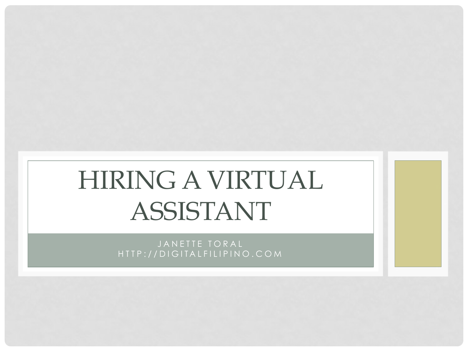# HIRING A VIRTUAL ASSISTANT

JANETTE TORAL HTTP:// DIGITALFILIPINO.COM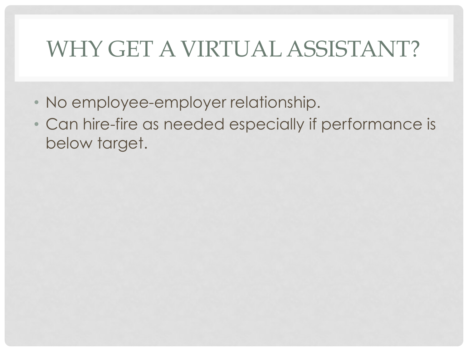### WHY GET A VIRTUAL ASSISTANT?

- No employee-employer relationship.
- Can hire-fire as needed especially if performance is below target.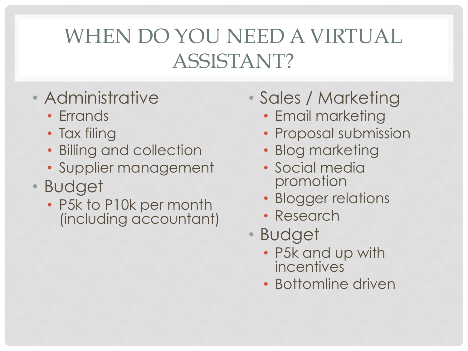#### WHEN DO YOU NEED A VIRTUAL ASSISTANT?

- Administrative
	- Errands
	- Tax filing
	- Billing and collection
	- Supplier management
- Budget
	- P5k to P10k per month (including accountant)
- Sales / Marketing
	- Email marketing
	- Proposal submission
	- Blog marketing
	- Social media promotion
	- Blogger relations
	- Research
- Budget
	- P5k and up with incentives
	- Bottomline driven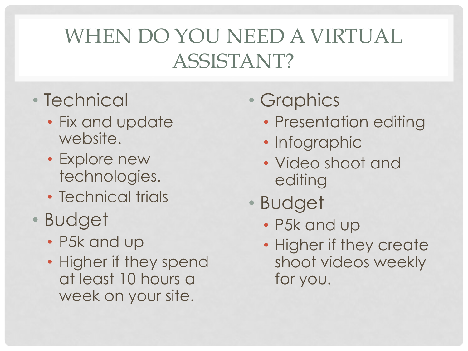#### WHEN DO YOU NEED A VIRTUAL ASSISTANT?

- Technical
	- Fix and update website.
	- Explore new technologies.
	- Technical trials
- Budget
	- P5k and up
	- Higher if they spend at least 10 hours a week on your site.

#### • Graphics

- Presentation editing
- Infographic
- Video shoot and editing
- Budget
	- P5k and up
	- Higher if they create shoot videos weekly for you.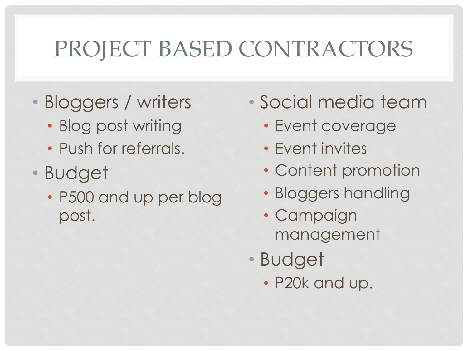# PROJECT BASED CONTRACTORS

- Bloggers / writers
	- Blog post writing
	- Push for referrals.
- Budget
	- P500 and up per blog post.
- Social media team
	- Event coverage
	- Event invites
	- Content promotion
	- Bloggers handling
	- Campaign management
- Budget
	- P20k and up.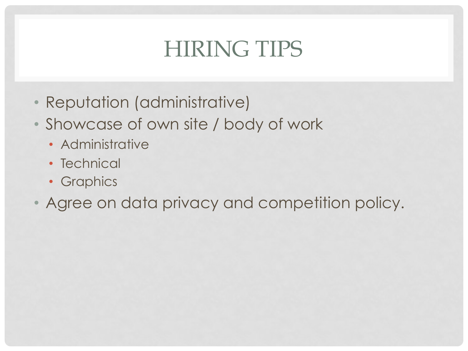## HIRING TIPS

- Reputation (administrative)
- Showcase of own site / body of work
	- Administrative
	- Technical
	- Graphics
- Agree on data privacy and competition policy.